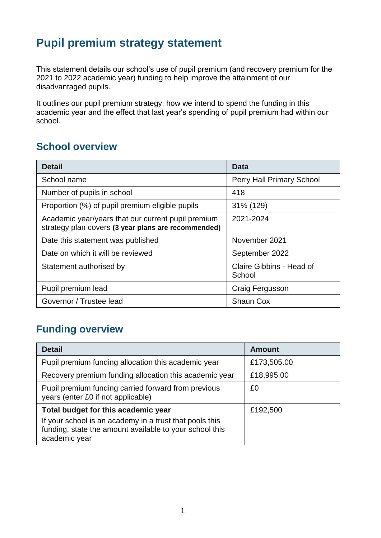# **Pupil premium strategy statement**

This statement details our school's use of pupil premium (and recovery premium for the 2021 to 2022 academic year) funding to help improve the attainment of our disadvantaged pupils.

It outlines our pupil premium strategy, how we intend to spend the funding in this academic year and the effect that last year's spending of pupil premium had within our school.

#### **School overview**

| <b>Detail</b>                                                                                             | Data                               |
|-----------------------------------------------------------------------------------------------------------|------------------------------------|
| School name                                                                                               | Perry Hall Primary School          |
| Number of pupils in school                                                                                | 418                                |
| Proportion (%) of pupil premium eligible pupils                                                           | 31% (129)                          |
| Academic year/years that our current pupil premium<br>strategy plan covers (3 year plans are recommended) | 2021-2024                          |
| Date this statement was published                                                                         | November 2021                      |
| Date on which it will be reviewed                                                                         | September 2022                     |
| Statement authorised by                                                                                   | Claire Gibbins - Head of<br>School |
| Pupil premium lead                                                                                        | Craig Fergusson                    |
| Governor / Trustee lead                                                                                   | <b>Shaun Cox</b>                   |

## **Funding overview**

| <b>Detail</b>                                                                                                                       | <b>Amount</b> |
|-------------------------------------------------------------------------------------------------------------------------------------|---------------|
| Pupil premium funding allocation this academic year                                                                                 | £173,505.00   |
| Recovery premium funding allocation this academic year                                                                              | £18,995.00    |
| Pupil premium funding carried forward from previous<br>years (enter £0 if not applicable)                                           | £0            |
| Total budget for this academic year                                                                                                 | £192,500      |
| If your school is an academy in a trust that pools this<br>funding, state the amount available to your school this<br>academic year |               |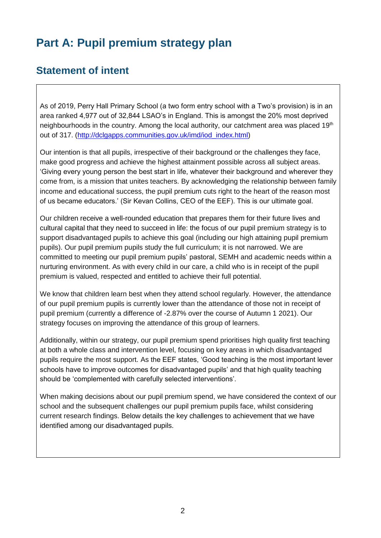# **Part A: Pupil premium strategy plan**

#### **Statement of intent**

As of 2019, Perry Hall Primary School (a two form entry school with a Two's provision) is in an area ranked 4,977 out of 32,844 LSAO's in England. This is amongst the 20% most deprived neighbourhoods in the country. Among the local authority, our catchment area was placed  $19<sup>th</sup>$ out of 317. [\(http://dclgapps.communities.gov.uk/imd/iod\\_index.html\)](http://dclgapps.communities.gov.uk/imd/iod_index.html)

Our intention is that all pupils, irrespective of their background or the challenges they face, make good progress and achieve the highest attainment possible across all subject areas. 'Giving every young person the best start in life, whatever their background and wherever they come from, is a mission that unites teachers. By acknowledging the relationship between family income and educational success, the pupil premium cuts right to the heart of the reason most of us became educators.' (Sir Kevan Collins, CEO of the EEF). This is our ultimate goal.

Our children receive a well-rounded education that prepares them for their future lives and cultural capital that they need to succeed in life: the focus of our pupil premium strategy is to support disadvantaged pupils to achieve this goal (including our high attaining pupil premium pupils). Our pupil premium pupils study the full curriculum; it is not narrowed. We are committed to meeting our pupil premium pupils' pastoral, SEMH and academic needs within a nurturing environment. As with every child in our care, a child who is in receipt of the pupil premium is valued, respected and entitled to achieve their full potential.

We know that children learn best when they attend school regularly. However, the attendance of our pupil premium pupils is currently lower than the attendance of those not in receipt of pupil premium (currently a difference of -2.87% over the course of Autumn 1 2021). Our strategy focuses on improving the attendance of this group of learners.

Additionally, within our strategy, our pupil premium spend prioritises high quality first teaching at both a whole class and intervention level, focusing on key areas in which disadvantaged pupils require the most support. As the EEF states, 'Good teaching is the most important lever schools have to improve outcomes for disadvantaged pupils' and that high quality teaching should be 'complemented with carefully selected interventions'.

When making decisions about our pupil premium spend, we have considered the context of our school and the subsequent challenges our pupil premium pupils face, whilst considering current research findings. Below details the key challenges to achievement that we have identified among our disadvantaged pupils.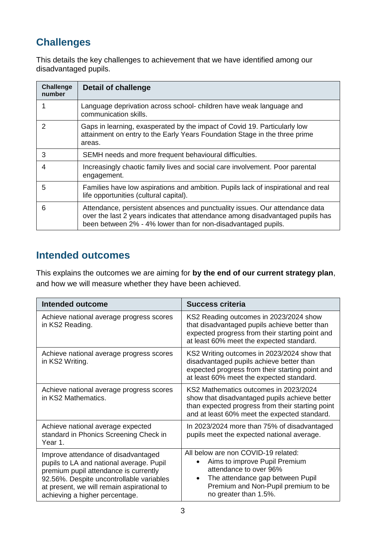# **Challenges**

This details the key challenges to achievement that we have identified among our disadvantaged pupils.

| <b>Challenge</b><br>number | <b>Detail of challenge</b>                                                                                                                                                                                                     |
|----------------------------|--------------------------------------------------------------------------------------------------------------------------------------------------------------------------------------------------------------------------------|
| 1                          | Language deprivation across school- children have weak language and<br>communication skills.                                                                                                                                   |
| $\mathcal{P}$              | Gaps in learning, exasperated by the impact of Covid 19. Particularly low<br>attainment on entry to the Early Years Foundation Stage in the three prime<br>areas.                                                              |
| 3                          | SEMH needs and more frequent behavioural difficulties.                                                                                                                                                                         |
| 4                          | Increasingly chaotic family lives and social care involvement. Poor parental<br>engagement.                                                                                                                                    |
| 5                          | Families have low aspirations and ambition. Pupils lack of inspirational and real<br>life opportunities (cultural capital).                                                                                                    |
| 6                          | Attendance, persistent absences and punctuality issues. Our attendance data<br>over the last 2 years indicates that attendance among disadvantaged pupils has<br>been between 2% - 4% lower than for non-disadvantaged pupils. |

#### **Intended outcomes**

This explains the outcomes we are aiming for **by the end of our current strategy plan**, and how we will measure whether they have been achieved.

| <b>Intended outcome</b>                                                                                                                                                                                                                              | Success criteria                                                                                                                                                                                                |  |
|------------------------------------------------------------------------------------------------------------------------------------------------------------------------------------------------------------------------------------------------------|-----------------------------------------------------------------------------------------------------------------------------------------------------------------------------------------------------------------|--|
| Achieve national average progress scores<br>in KS2 Reading.                                                                                                                                                                                          | KS2 Reading outcomes in 2023/2024 show<br>that disadvantaged pupils achieve better than<br>expected progress from their starting point and<br>at least 60% meet the expected standard.                          |  |
| Achieve national average progress scores<br>in KS2 Writing.                                                                                                                                                                                          | KS2 Writing outcomes in 2023/2024 show that<br>disadvantaged pupils achieve better than<br>expected progress from their starting point and<br>at least 60% meet the expected standard.                          |  |
| Achieve national average progress scores<br>in KS2 Mathematics.                                                                                                                                                                                      | KS2 Mathematics outcomes in 2023/2024<br>show that disadvantaged pupils achieve better<br>than expected progress from their starting point<br>and at least 60% meet the expected standard.                      |  |
| Achieve national average expected<br>standard in Phonics Screening Check in<br>Year 1.                                                                                                                                                               | In 2023/2024 more than 75% of disadvantaged<br>pupils meet the expected national average.                                                                                                                       |  |
| Improve attendance of disadvantaged<br>pupils to LA and national average. Pupil<br>premium pupil attendance is currently<br>92.56%. Despite uncontrollable variables<br>at present, we will remain aspirational to<br>achieving a higher percentage. | All below are non COVID-19 related:<br>Aims to improve Pupil Premium<br>attendance to over 96%<br>The attendance gap between Pupil<br>$\bullet$<br>Premium and Non-Pupil premium to be<br>no greater than 1.5%. |  |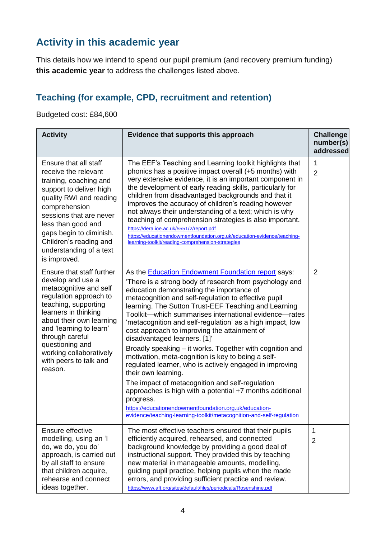## **Activity in this academic year**

This details how we intend to spend our pupil premium (and recovery premium funding) **this academic year** to address the challenges listed above.

#### **Teaching (for example, CPD, recruitment and retention)**

Budgeted cost: £84,600

| <b>Activity</b>                                                                                                                                                                                                                                                                                                 | Evidence that supports this approach                                                                                                                                                                                                                                                                                                                                                                                                                                                                                                                                                                                                                                                                                                                                                                                                                                                                                                                             | <b>Challenge</b><br>number(s)<br>addressed |
|-----------------------------------------------------------------------------------------------------------------------------------------------------------------------------------------------------------------------------------------------------------------------------------------------------------------|------------------------------------------------------------------------------------------------------------------------------------------------------------------------------------------------------------------------------------------------------------------------------------------------------------------------------------------------------------------------------------------------------------------------------------------------------------------------------------------------------------------------------------------------------------------------------------------------------------------------------------------------------------------------------------------------------------------------------------------------------------------------------------------------------------------------------------------------------------------------------------------------------------------------------------------------------------------|--------------------------------------------|
| Ensure that all staff<br>receive the relevant<br>training, coaching and<br>support to deliver high<br>quality RWI and reading<br>comprehension<br>sessions that are never<br>less than good and<br>gaps begin to diminish.<br>Children's reading and<br>understanding of a text<br>is improved.                 | The EEF's Teaching and Learning toolkit highlights that<br>phonics has a positive impact overall (+5 months) with<br>very extensive evidence, it is an important component in<br>the development of early reading skills, particularly for<br>children from disadvantaged backgrounds and that it<br>improves the accuracy of children's reading however<br>not always their understanding of a text; which is why<br>teaching of comprehension strategies is also important.<br>https://dera.ioe.ac.uk/5551/2/report.pdf<br>https://educationendowmentfoundation.org.uk/education-evidence/teaching-<br>learning-toolkit/reading-comprehension-strategies                                                                                                                                                                                                                                                                                                       | 1<br>$\overline{2}$                        |
| Ensure that staff further<br>develop and use a<br>metacognitive and self<br>regulation approach to<br>teaching, supporting<br>learners in thinking<br>about their own learning<br>and 'learning to learn'<br>through careful<br>questioning and<br>working collaboratively<br>with peers to talk and<br>reason. | As the <b>Education Endowment Foundation report</b> says:<br>'There is a strong body of research from psychology and<br>education demonstrating the importance of<br>metacognition and self-regulation to effective pupil<br>learning. The Sutton Trust-EEF Teaching and Learning<br>Toolkit—which summarises international evidence—rates<br>'metacognition and self-regulation' as a high impact, low<br>cost approach to improving the attainment of<br>disadvantaged learners. [1]'<br>Broadly speaking – it works. Together with cognition and<br>motivation, meta-cognition is key to being a self-<br>regulated learner, who is actively engaged in improving<br>their own learning.<br>The impact of metacognition and self-regulation<br>approaches is high with a potential +7 months additional<br>progress.<br>https://educationendowmentfoundation.org.uk/education-<br><u>evidence/teaching-learning-toolkit/metacognition-and-self-regulation</u> | 2                                          |
| Ensure effective<br>modelling, using an 'I<br>do, we do, you do'<br>approach, is carried out<br>by all staff to ensure<br>that children acquire,<br>rehearse and connect<br>ideas together.                                                                                                                     | The most effective teachers ensured that their pupils<br>efficiently acquired, rehearsed, and connected<br>background knowledge by providing a good deal of<br>instructional support. They provided this by teaching<br>new material in manageable amounts, modelling,<br>guiding pupil practice, helping pupils when the made<br>errors, and providing sufficient practice and review.<br>https://www.aft.org/sites/default/files/periodicals/Rosenshine.pdf                                                                                                                                                                                                                                                                                                                                                                                                                                                                                                    | 1<br>2                                     |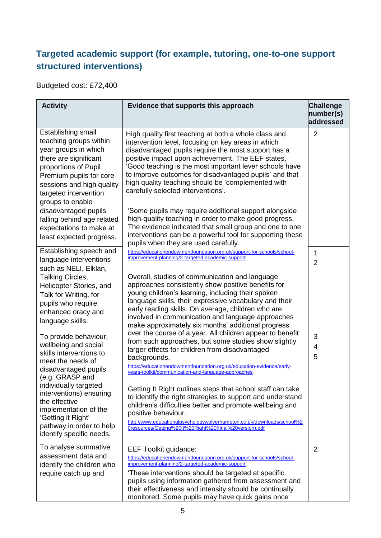#### **Targeted academic support (for example, tutoring, one-to-one support structured interventions)**

Budgeted cost: £72,400

| <b>Activity</b>                                                                                                                                                                                                                                                                                                      | Evidence that supports this approach                                                                                                                                                                                                                                                                                                                                                                                                                                                                                                                                                                                                                                    | <b>Challenge</b><br>number(s)<br>addressed |
|----------------------------------------------------------------------------------------------------------------------------------------------------------------------------------------------------------------------------------------------------------------------------------------------------------------------|-------------------------------------------------------------------------------------------------------------------------------------------------------------------------------------------------------------------------------------------------------------------------------------------------------------------------------------------------------------------------------------------------------------------------------------------------------------------------------------------------------------------------------------------------------------------------------------------------------------------------------------------------------------------------|--------------------------------------------|
| Establishing small<br>teaching groups within<br>year groups in which<br>there are significant<br>proportions of Pupil<br>Premium pupils for core<br>sessions and high quality<br>targeted intervention<br>groups to enable                                                                                           | High quality first teaching at both a whole class and<br>intervention level, focusing on key areas in which<br>disadvantaged pupils require the most support has a<br>positive impact upon achievement. The EEF states,<br>'Good teaching is the most important lever schools have<br>to improve outcomes for disadvantaged pupils' and that<br>high quality teaching should be 'complemented with<br>carefully selected interventions'.                                                                                                                                                                                                                                | $\overline{2}$                             |
| disadvantaged pupils<br>falling behind age related<br>expectations to make at<br>least expected progress.                                                                                                                                                                                                            | 'Some pupils may require additional support alongside<br>high-quality teaching in order to make good progress.<br>The evidence indicated that small group and one to one<br>interventions can be a powerful tool for supporting these<br>pupils when they are used carefully.                                                                                                                                                                                                                                                                                                                                                                                           |                                            |
| Establishing speech and<br>language interventions<br>such as NELI, Elklan,<br>Talking Circles,<br>Helicopter Stories, and<br>Talk for Writing, for<br>pupils who require<br>enhanced oracy and<br>language skills.                                                                                                   | https://educationendowmentfoundation.org.uk/support-for-schools/school-<br>improvement-planning/2-targeted-academic-support<br>Overall, studies of communication and language<br>approaches consistently show positive benefits for<br>young children's learning, including their spoken<br>language skills, their expressive vocabulary and their<br>early reading skills. On average, children who are<br>involved in communication and language approaches<br>make approximately six months' additional progress                                                                                                                                                     | 1<br>$\overline{2}$                        |
| To provide behaviour,<br>wellbeing and social<br>skills interventions to<br>meet the needs of<br>disadvantaged pupils<br>(e.g. GRASP and<br>individually targeted<br>interventions) ensuring<br>the effective<br>implementation of the<br>'Getting it Right'<br>pathway in order to help<br>identify specific needs. | over the course of a year. All children appear to benefit<br>from such approaches, but some studies show slightly<br>larger effects for children from disadvantaged<br>backgrounds.<br>https://educationendowmentfoundation.org.uk/education-evidence/early-<br>years-toolkit/communication-and-language-approaches<br>Getting It Right outlines steps that school staff can take<br>to identify the right strategies to support and understand<br>children's difficulties better and promote wellbeing and<br>positive behaviour.<br>http://www.educationalpsychologywolverhampton.co.uk/downloads/school%2<br>Oresources/Getting%20lt%20Right%20(final%20version).pdf | 3<br>4<br>5                                |
| To analyse summative<br>assessment data and<br>identify the children who<br>require catch up and                                                                                                                                                                                                                     | <b>EEF Toolkit guidance:</b><br>https://educationendowmentfoundation.org.uk/support-for-schools/school-<br>improvement-planning/2-targeted-academic-support<br>'These interventions should be targeted at specific<br>pupils using information gathered from assessment and<br>their effectiveness and intensity should be continually<br>monitored. Some pupils may have quick gains once                                                                                                                                                                                                                                                                              | $\overline{2}$                             |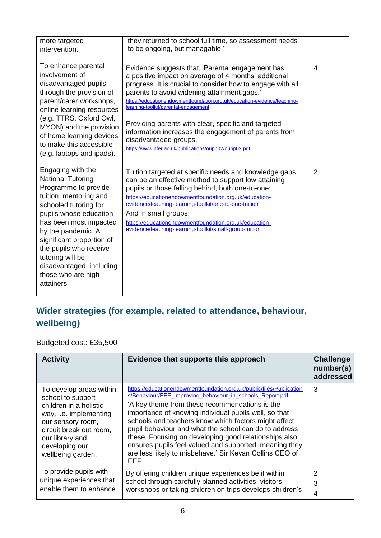| more targeted<br>intervention.                                                                                                                                                                                                                                                                                                                | they returned to school full time, so assessment needs<br>to be ongoing, but managable.'                                                                                                                                                                                                                                                                                                                                                                                                                                                   |                |
|-----------------------------------------------------------------------------------------------------------------------------------------------------------------------------------------------------------------------------------------------------------------------------------------------------------------------------------------------|--------------------------------------------------------------------------------------------------------------------------------------------------------------------------------------------------------------------------------------------------------------------------------------------------------------------------------------------------------------------------------------------------------------------------------------------------------------------------------------------------------------------------------------------|----------------|
| To enhance parental<br>involvement of<br>disadvantaged pupils<br>through the provision of<br>parent/carer workshops,<br>online learning resources<br>(e.g. TTRS, Oxford Owl,<br>MYON) and the provision<br>of home learning devices<br>to make this accessible<br>(e.g. laptops and ipads).                                                   | Evidence suggests that, 'Parental engagement has<br>a positive impact on average of 4 months' additional<br>progress. It is crucial to consider how to engage with all<br>parents to avoid widening attainment gaps.'<br>https://educationendowmentfoundation.org.uk/education-evidence/teaching-<br>learning-toolkit/parental-engagement<br>Providing parents with clear, specific and targeted<br>information increases the engagement of parents from<br>disadvantaged groups.<br>https://www.nfer.ac.uk/publications/oupp02/oupp02.pdf | 4              |
| Engaging with the<br><b>National Tutoring</b><br>Programme to provide<br>tuition, mentoring and<br>schooled tutoring for<br>pupils whose education<br>has been most impacted<br>by the pandemic. A<br>significant proportion of<br>the pupils who receive<br>tutoring will be<br>disadvantaged, including<br>those who are high<br>attainers. | Tuition targeted at specific needs and knowledge gaps<br>can be an effective method to support low attaining<br>pupils or those falling behind, both one-to-one:<br>https://educationendowmentfoundation.org.uk/education-<br>evidence/teaching-learning-toolkit/one-to-one-tuition<br>And in small groups:<br>https://educationendowmentfoundation.org.uk/education-<br>evidence/teaching-learning-toolkit/small-group-tuition                                                                                                            | $\overline{2}$ |

## **Wider strategies (for example, related to attendance, behaviour, wellbeing)**

Budgeted cost: £35,500

| <b>Activity</b>                                                                                                                                                                                            | Evidence that supports this approach                                                                                                                                                                                                                                                                                                                                                                                                                                                                                                               | <b>Challenge</b><br>number(s)<br>addressed |
|------------------------------------------------------------------------------------------------------------------------------------------------------------------------------------------------------------|----------------------------------------------------------------------------------------------------------------------------------------------------------------------------------------------------------------------------------------------------------------------------------------------------------------------------------------------------------------------------------------------------------------------------------------------------------------------------------------------------------------------------------------------------|--------------------------------------------|
| To develop areas within<br>school to support<br>children in a holistic<br>way, i.e. implementing<br>our sensory room,<br>circuit break out room,<br>our library and<br>developing our<br>wellbeing garden. | https://educationendowmentfoundation.org.uk/public/files/Publication<br>s/Behaviour/EEF Improving behaviour in schools Report.pdf<br>'A key theme from these recommendations is the<br>importance of knowing individual pupils well, so that<br>schools and teachers know which factors might affect<br>pupil behaviour and what the school can do to address<br>these. Focusing on developing good relationships also<br>ensures pupils feel valued and supported, meaning they<br>are less likely to misbehave.' Sir Kevan Collins CEO of<br>EEF | 3                                          |
| To provide pupils with<br>unique experiences that<br>enable them to enhance                                                                                                                                | By offering children unique experiences be it within<br>school through carefully planned activities, visitors,<br>workshops or taking children on trips develops children's                                                                                                                                                                                                                                                                                                                                                                        | $\mathcal{P}$<br>3<br>4                    |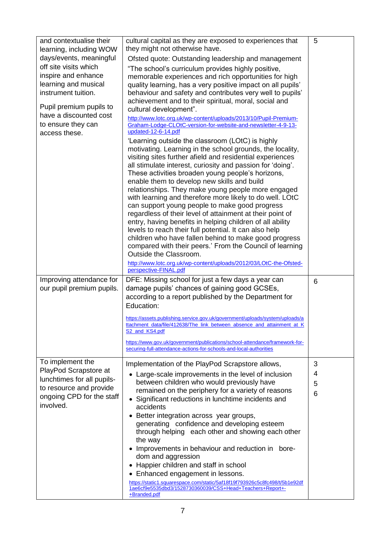| and contextualise their<br>learning, including WOW<br>days/events, meaningful<br>off site visits which<br>inspire and enhance<br>learning and musical<br>instrument tuition.<br>Pupil premium pupils to<br>have a discounted cost<br>to ensure they can<br>access these. | cultural capital as they are exposed to experiences that<br>they might not otherwise have.<br>Ofsted quote: Outstanding leadership and management<br>"The school's curriculum provides highly positive,<br>memorable experiences and rich opportunities for high<br>quality learning, has a very positive impact on all pupils'<br>behaviour and safety and contributes very well to pupils'<br>achievement and to their spiritual, moral, social and<br>cultural development".<br>http://www.lotc.org.uk/wp-content/uploads/2013/10/Pupil-Premium-<br>Graham-Lodge-CLOtC-version-for-website-and-newsletter-4-9-13-<br>updated-12-6-14.pdf<br>'Learning outside the classroom (LOtC) is highly<br>motivating. Learning in the school grounds, the locality,<br>visiting sites further afield and residential experiences<br>all stimulate interest, curiosity and passion for 'doing'.<br>These activities broaden young people's horizons,<br>enable them to develop new skills and build<br>relationships. They make young people more engaged<br>with learning and therefore more likely to do well. LOtC<br>can support young people to make good progress<br>regardless of their level of attainment at their point of<br>entry, having benefits in helping children of all ability<br>levels to reach their full potential. It can also help<br>children who have fallen behind to make good progress<br>compared with their peers.' From the Council of learning<br>Outside the Classroom.<br>http://www.lotc.org.uk/wp-content/uploads/2012/03/LOtC-the-Ofsted- | 5                |
|--------------------------------------------------------------------------------------------------------------------------------------------------------------------------------------------------------------------------------------------------------------------------|--------------------------------------------------------------------------------------------------------------------------------------------------------------------------------------------------------------------------------------------------------------------------------------------------------------------------------------------------------------------------------------------------------------------------------------------------------------------------------------------------------------------------------------------------------------------------------------------------------------------------------------------------------------------------------------------------------------------------------------------------------------------------------------------------------------------------------------------------------------------------------------------------------------------------------------------------------------------------------------------------------------------------------------------------------------------------------------------------------------------------------------------------------------------------------------------------------------------------------------------------------------------------------------------------------------------------------------------------------------------------------------------------------------------------------------------------------------------------------------------------------------------------------------------------------------------------|------------------|
| Improving attendance for<br>our pupil premium pupils.                                                                                                                                                                                                                    | perspective-FINAL.pdf<br>DFE: Missing school for just a few days a year can<br>damage pupils' chances of gaining good GCSEs,<br>according to a report published by the Department for<br>Education:<br>https://assets.publishing.service.gov.uk/government/uploads/system/uploads/a<br>ttachment_data/file/412638/The_link_between_absence_and_attainment_at_K<br>S2 and KS4.pdf<br>https://www.gov.uk/government/publications/school-attendance/framework-for-<br>securing-full-attendance-actions-for-schools-and-local-authorities                                                                                                                                                                                                                                                                                                                                                                                                                                                                                                                                                                                                                                                                                                                                                                                                                                                                                                                                                                                                                                    | 6                |
| To implement the<br>PlayPod Scrapstore at<br>lunchtimes for all pupils-<br>to resource and provide<br>ongoing CPD for the staff<br>involved.                                                                                                                             | Implementation of the PlayPod Scrapstore allows,<br>• Large-scale improvements in the level of inclusion<br>between children who would previously have<br>remained on the periphery for a variety of reasons<br>Significant reductions in lunchtime incidents and<br>$\bullet$<br>accidents<br>• Better integration across year groups,<br>generating confidence and developing esteem<br>through helping each other and showing each other<br>the way<br>• Improvements in behaviour and reduction in bore-<br>dom and aggression<br>Happier children and staff in school<br>٠<br>Enhanced engagement in lessons.<br>https://static1.squarespace.com/static/5af18f19f793926c5c8fc498/t/5b1e92df<br>1ae6cf9e5535dbd3/1528730360039/CSS+Head+Teachers+Report+-<br>+Branded.pdf                                                                                                                                                                                                                                                                                                                                                                                                                                                                                                                                                                                                                                                                                                                                                                                            | 3<br>4<br>5<br>6 |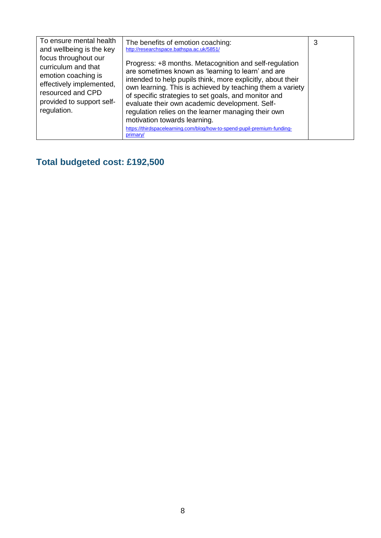| To ensure mental health<br>and wellbeing is the key                                                                                                             | The benefits of emotion coaching:<br>http://researchspace.bathspa.ac.uk/5851/                                                                                                                                                                                                                                                                                                                                                                                                                                                    | 3 |
|-----------------------------------------------------------------------------------------------------------------------------------------------------------------|----------------------------------------------------------------------------------------------------------------------------------------------------------------------------------------------------------------------------------------------------------------------------------------------------------------------------------------------------------------------------------------------------------------------------------------------------------------------------------------------------------------------------------|---|
| focus throughout our<br>curriculum and that<br>emotion coaching is<br>effectively implemented,<br>resourced and CPD<br>provided to support self-<br>regulation. | Progress: +8 months. Metacognition and self-regulation<br>are sometimes known as 'learning to learn' and are<br>intended to help pupils think, more explicitly, about their<br>own learning. This is achieved by teaching them a variety<br>of specific strategies to set goals, and monitor and<br>evaluate their own academic development. Self-<br>regulation relies on the learner managing their own<br>motivation towards learning.<br>https://thirdspacelearning.com/blog/how-to-spend-pupil-premium-funding-<br>primary/ |   |

## **Total budgeted cost: £192,500**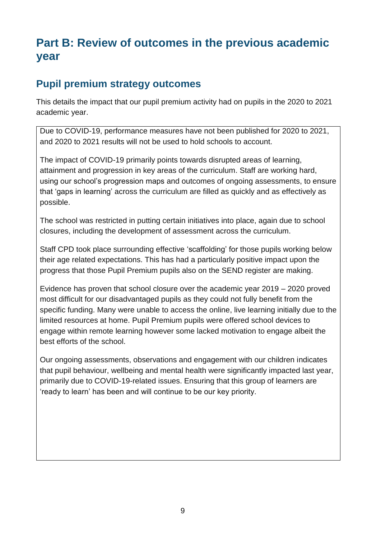# **Part B: Review of outcomes in the previous academic year**

#### **Pupil premium strategy outcomes**

This details the impact that our pupil premium activity had on pupils in the 2020 to 2021 academic year.

Due to COVID-19, performance measures have not been published for 2020 to 2021, and 2020 to 2021 results will not be used to hold schools to account.

The impact of COVID-19 primarily points towards disrupted areas of learning, attainment and progression in key areas of the curriculum. Staff are working hard, using our school's progression maps and outcomes of ongoing assessments, to ensure that 'gaps in learning' across the curriculum are filled as quickly and as effectively as possible.

The school was restricted in putting certain initiatives into place, again due to school closures, including the development of assessment across the curriculum.

Staff CPD took place surrounding effective 'scaffolding' for those pupils working below their age related expectations. This has had a particularly positive impact upon the progress that those Pupil Premium pupils also on the SEND register are making.

Evidence has proven that school closure over the academic year 2019 – 2020 proved most difficult for our disadvantaged pupils as they could not fully benefit from the specific funding. Many were unable to access the online, live learning initially due to the limited resources at home. Pupil Premium pupils were offered school devices to engage within remote learning however some lacked motivation to engage albeit the best efforts of the school.

Our ongoing assessments, observations and engagement with our children indicates that pupil behaviour, wellbeing and mental health were significantly impacted last year, primarily due to COVID-19-related issues. Ensuring that this group of learners are 'ready to learn' has been and will continue to be our key priority.